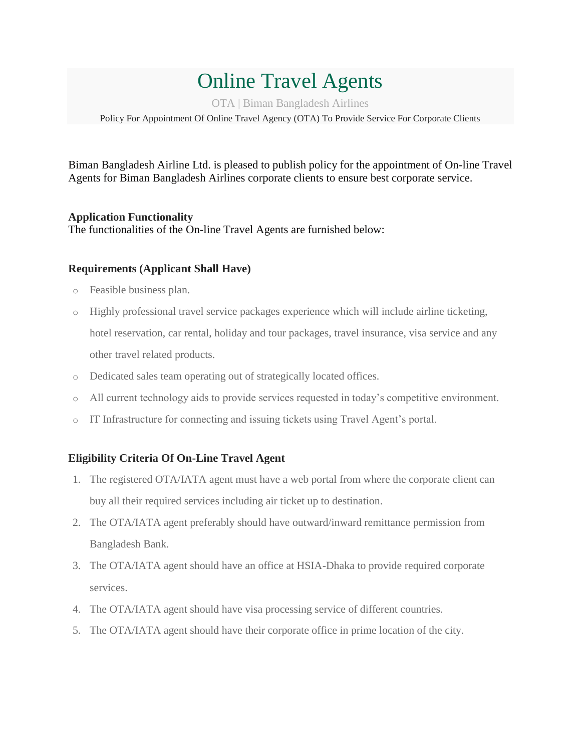# Online Travel Agents

OTA | Biman Bangladesh Airlines

Policy For Appointment Of Online Travel Agency (OTA) To Provide Service For Corporate Clients

Biman Bangladesh Airline Ltd. is pleased to publish policy for the appointment of On-line Travel Agents for Biman Bangladesh Airlines corporate clients to ensure best corporate service.

### **Application Functionality**

The functionalities of the On-line Travel Agents are furnished below:

#### **Requirements (Applicant Shall Have)**

- o Feasible business plan.
- o Highly professional travel service packages experience which will include airline ticketing, hotel reservation, car rental, holiday and tour packages, travel insurance, visa service and any other travel related products.
- o Dedicated sales team operating out of strategically located offices.
- o All current technology aids to provide services requested in today's competitive environment.
- o IT Infrastructure for connecting and issuing tickets using Travel Agent's portal.

#### **Eligibility Criteria Of On-Line Travel Agent**

- 1. The registered OTA/IATA agent must have a web portal from where the corporate client can buy all their required services including air ticket up to destination.
- 2. The OTA/IATA agent preferably should have outward/inward remittance permission from Bangladesh Bank.
- 3. The OTA/IATA agent should have an office at HSIA-Dhaka to provide required corporate services.
- 4. The OTA/IATA agent should have visa processing service of different countries.
- 5. The OTA/IATA agent should have their corporate office in prime location of the city.